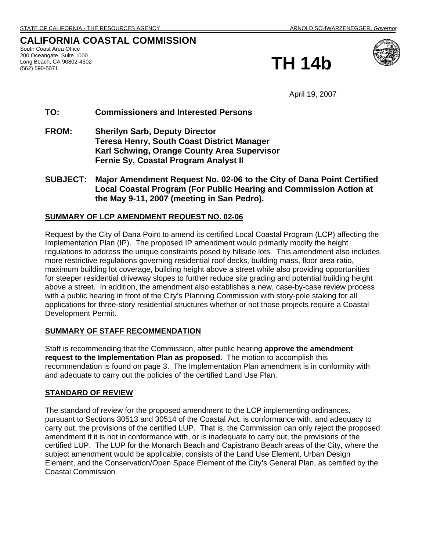# **CALIFORNIA COASTAL COMMISSION**

South Coast Area Office 200 Oceangate, Suite 1000 Long Beach, CA 90802-4302





April 19, 2007

# **TO: Commissioners and Interested Persons**

- **FROM: Sherilyn Sarb, Deputy Director Teresa Henry, South Coast District Manager Karl Schwing, Orange County Area Supervisor Fernie Sy, Coastal Program Analyst II**
- **SUBJECT: Major Amendment Request No. 02-06 to the City of Dana Point Certified Local Coastal Program (For Public Hearing and Commission Action at the May 9-11, 2007 (meeting in San Pedro).**

# **SUMMARY OF LCP AMENDMENT REQUEST NO. 02-06**

Request by the City of Dana Point to amend its certified Local Coastal Program (LCP) affecting the Implementation Plan (IP). The proposed IP amendment would primarily modify the height regulations to address the unique constraints posed by hillside lots. This amendment also includes more restrictive regulations governing residential roof decks, building mass, floor area ratio, maximum building lot coverage, building height above a street while also providing opportunities for steeper residential driveway slopes to further reduce site grading and potential building height above a street. In addition, the amendment also establishes a new, case-by-case review process with a public hearing in front of the City's Planning Commission with story-pole staking for all applications for three-story residential structures whether or not those projects require a Coastal Development Permit.

# **SUMMARY OF STAFF RECOMMENDATION**

Staff is recommending that the Commission, after public hearing **approve the amendment request to the Implementation Plan as proposed.** The motion to accomplish this recommendation is found on page 3. The Implementation Plan amendment is in conformity with and adequate to carry out the policies of the certified Land Use Plan.

# **STANDARD OF REVIEW**

The standard of review for the proposed amendment to the LCP implementing ordinances, pursuant to Sections 30513 and 30514 of the Coastal Act, is conformance with, and adequacy to carry out, the provisions of the certified LUP. That is, the Commission can only reject the proposed amendment if it is not in conformance with, or is inadequate to carry out, the provisions of the certified LUP. The LUP for the Monarch Beach and Capistrano Beach areas of the City, where the subject amendment would be applicable, consists of the Land Use Element, Urban Design Element, and the Conservation/Open Space Element of the City's General Plan, as certified by the Coastal Commission.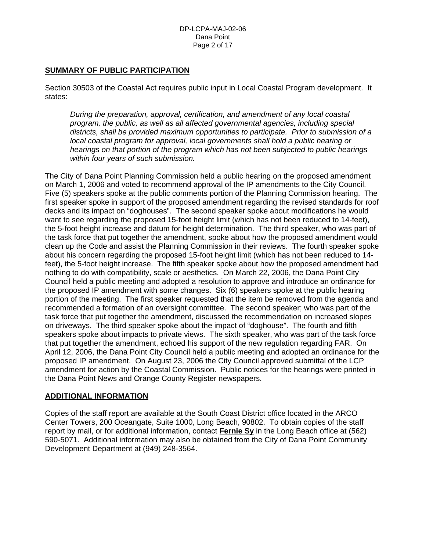## **SUMMARY OF PUBLIC PARTICIPATION**

Section 30503 of the Coastal Act requires public input in Local Coastal Program development. It states:

*During the preparation, approval, certification, and amendment of any local coastal program, the public, as well as all affected governmental agencies, including special districts, shall be provided maximum opportunities to participate. Prior to submission of a local coastal program for approval, local governments shall hold a public hearing or hearings on that portion of the program which has not been subjected to public hearings within four years of such submission.* 

The City of Dana Point Planning Commission held a public hearing on the proposed amendment on March 1, 2006 and voted to recommend approval of the IP amendments to the City Council. Five (5) speakers spoke at the public comments portion of the Planning Commission hearing. The first speaker spoke in support of the proposed amendment regarding the revised standards for roof decks and its impact on "doghouses". The second speaker spoke about modifications he would want to see regarding the proposed 15-foot height limit (which has not been reduced to 14-feet), the 5-foot height increase and datum for height determination. The third speaker, who was part of the task force that put together the amendment, spoke about how the proposed amendment would clean up the Code and assist the Planning Commission in their reviews. The fourth speaker spoke about his concern regarding the proposed 15-foot height limit (which has not been reduced to 14 feet), the 5-foot height increase. The fifth speaker spoke about how the proposed amendment had nothing to do with compatibility, scale or aesthetics. On March 22, 2006, the Dana Point City Council held a public meeting and adopted a resolution to approve and introduce an ordinance for the proposed IP amendment with some changes. Six (6) speakers spoke at the public hearing portion of the meeting. The first speaker requested that the item be removed from the agenda and recommended a formation of an oversight committee. The second speaker; who was part of the task force that put together the amendment, discussed the recommendation on increased slopes on driveways. The third speaker spoke about the impact of "doghouse". The fourth and fifth speakers spoke about impacts to private views. The sixth speaker, who was part of the task force that put together the amendment, echoed his support of the new regulation regarding FAR. On April 12, 2006, the Dana Point City Council held a public meeting and adopted an ordinance for the proposed IP amendment. On August 23, 2006 the City Council approved submittal of the LCP amendment for action by the Coastal Commission. Public notices for the hearings were printed in the Dana Point News and Orange County Register newspapers.

# **ADDITIONAL INFORMATION**

Copies of the staff report are available at the South Coast District office located in the ARCO Center Towers, 200 Oceangate, Suite 1000, Long Beach, 90802. To obtain copies of the staff report by mail, or for additional information, contact **Fernie Sy** in the Long Beach office at (562) 590-5071. Additional information may also be obtained from the City of Dana Point Community Development Department at (949) 248-3564.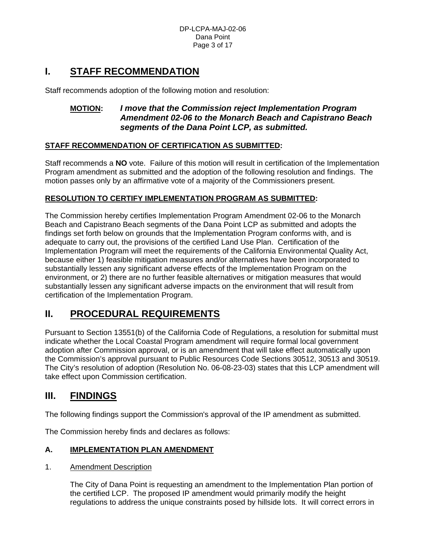# **I. STAFF RECOMMENDATION**

Staff recommends adoption of the following motion and resolution:

# **MOTION:** *I move that the Commission reject Implementation Program Amendment 02-06 to the Monarch Beach and Capistrano Beach segments of the Dana Point LCP, as submitted.*

# **STAFF RECOMMENDATION OF CERTIFICATION AS SUBMITTED:**

Staff recommends a **NO** vote. Failure of this motion will result in certification of the Implementation Program amendment as submitted and the adoption of the following resolution and findings. The motion passes only by an affirmative vote of a majority of the Commissioners present.

# **RESOLUTION TO CERTIFY IMPLEMENTATION PROGRAM AS SUBMITTED:**

The Commission hereby certifies Implementation Program Amendment 02-06 to the Monarch Beach and Capistrano Beach segments of the Dana Point LCP as submitted and adopts the findings set forth below on grounds that the Implementation Program conforms with, and is adequate to carry out, the provisions of the certified Land Use Plan. Certification of the Implementation Program will meet the requirements of the California Environmental Quality Act, because either 1) feasible mitigation measures and/or alternatives have been incorporated to substantially lessen any significant adverse effects of the Implementation Program on the environment, or 2) there are no further feasible alternatives or mitigation measures that would substantially lessen any significant adverse impacts on the environment that will result from certification of the Implementation Program.

# **II. PROCEDURAL REQUIREMENTS**

Pursuant to Section 13551(b) of the California Code of Regulations, a resolution for submittal must indicate whether the Local Coastal Program amendment will require formal local government adoption after Commission approval, or is an amendment that will take effect automatically upon the Commission's approval pursuant to Public Resources Code Sections 30512, 30513 and 30519. The City's resolution of adoption (Resolution No. 06-08-23-03) states that this LCP amendment will take effect upon Commission certification.

# **III. FINDINGS**

The following findings support the Commission's approval of the IP amendment as submitted.

The Commission hereby finds and declares as follows:

# **A. IMPLEMENTATION PLAN AMENDMENT**

# 1. Amendment Description

The City of Dana Point is requesting an amendment to the Implementation Plan portion of the certified LCP. The proposed IP amendment would primarily modify the height regulations to address the unique constraints posed by hillside lots. It will correct errors in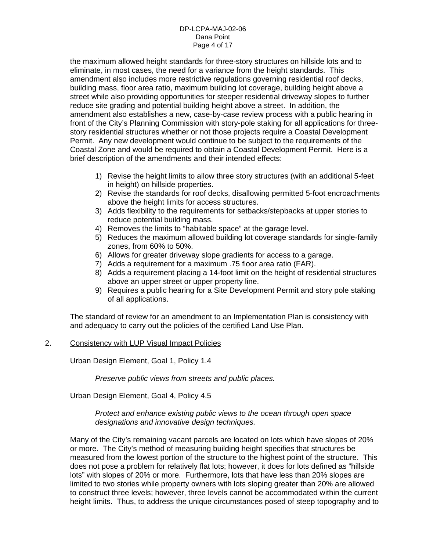### DP-LCPA-MAJ-02-06 Dana Point Page 4 of 17

the maximum allowed height standards for three-story structures on hillside lots and to eliminate, in most cases, the need for a variance from the height standards. This amendment also includes more restrictive regulations governing residential roof decks, building mass, floor area ratio, maximum building lot coverage, building height above a street while also providing opportunities for steeper residential driveway slopes to further reduce site grading and potential building height above a street. In addition, the amendment also establishes a new, case-by-case review process with a public hearing in front of the City's Planning Commission with story-pole staking for all applications for threestory residential structures whether or not those projects require a Coastal Development Permit. Any new development would continue to be subject to the requirements of the Coastal Zone and would be required to obtain a Coastal Development Permit. Here is a brief description of the amendments and their intended effects:

- 1) Revise the height limits to allow three story structures (with an additional 5-feet in height) on hillside properties.
- 2) Revise the standards for roof decks, disallowing permitted 5-foot encroachments above the height limits for access structures.
- 3) Adds flexibility to the requirements for setbacks/stepbacks at upper stories to reduce potential building mass.
- 4) Removes the limits to "habitable space" at the garage level.
- 5) Reduces the maximum allowed building lot coverage standards for single-family zones, from 60% to 50%.
- 6) Allows for greater driveway slope gradients for access to a garage.
- 7) Adds a requirement for a maximum .75 floor area ratio (FAR).
- 8) Adds a requirement placing a 14-foot limit on the height of residential structures above an upper street or upper property line.
- 9) Requires a public hearing for a Site Development Permit and story pole staking of all applications.

The standard of review for an amendment to an Implementation Plan is consistency with and adequacy to carry out the policies of the certified Land Use Plan.

## 2. Consistency with LUP Visual Impact Policies

Urban Design Element, Goal 1, Policy 1.4

*Preserve public views from streets and public places.* 

Urban Design Element, Goal 4, Policy 4.5

## *Protect and enhance existing public views to the ocean through open space designations and innovative design techniques.*

Many of the City's remaining vacant parcels are located on lots which have slopes of 20% or more. The City's method of measuring building height specifies that structures be measured from the lowest portion of the structure to the highest point of the structure. This does not pose a problem for relatively flat lots; however, it does for lots defined as "hillside lots" with slopes of 20% or more. Furthermore, lots that have less than 20% slopes are limited to two stories while property owners with lots sloping greater than 20% are allowed to construct three levels; however, three levels cannot be accommodated within the current height limits. Thus, to address the unique circumstances posed of steep topography and to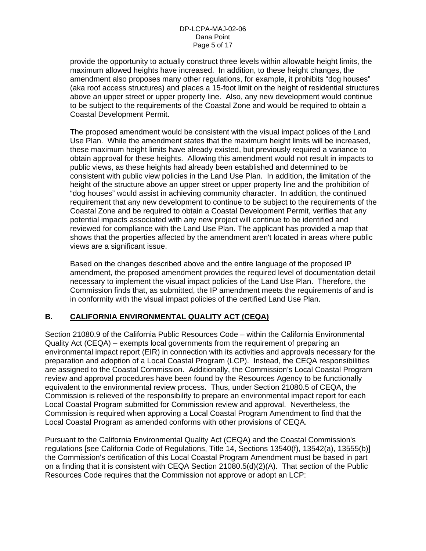provide the opportunity to actually construct three levels within allowable height limits, the maximum allowed heights have increased. In addition, to these height changes, the amendment also proposes many other regulations, for example, it prohibits "dog houses" (aka roof access structures) and places a 15-foot limit on the height of residential structures above an upper street or upper property line. Also, any new development would continue to be subject to the requirements of the Coastal Zone and would be required to obtain a Coastal Development Permit.

The proposed amendment would be consistent with the visual impact polices of the Land Use Plan. While the amendment states that the maximum height limits will be increased, these maximum height limits have already existed, but previously required a variance to obtain approval for these heights. Allowing this amendment would not result in impacts to public views, as these heights had already been established and determined to be consistent with public view policies in the Land Use Plan. In addition, the limitation of the height of the structure above an upper street or upper property line and the prohibition of "dog houses" would assist in achieving community character. In addition, the continued requirement that any new development to continue to be subject to the requirements of the Coastal Zone and be required to obtain a Coastal Development Permit, verifies that any potential impacts associated with any new project will continue to be identified and reviewed for compliance with the Land Use Plan. The applicant has provided a map that shows that the properties affected by the amendment aren't located in areas where public views are a significant issue.

Based on the changes described above and the entire language of the proposed IP amendment, the proposed amendment provides the required level of documentation detail necessary to implement the visual impact policies of the Land Use Plan. Therefore, the Commission finds that, as submitted, the IP amendment meets the requirements of and is in conformity with the visual impact policies of the certified Land Use Plan.

# **B. CALIFORNIA ENVIRONMENTAL QUALITY ACT (CEQA)**

Section 21080.9 of the California Public Resources Code – within the California Environmental Quality Act (CEQA) – exempts local governments from the requirement of preparing an environmental impact report (EIR) in connection with its activities and approvals necessary for the preparation and adoption of a Local Coastal Program (LCP). Instead, the CEQA responsibilities are assigned to the Coastal Commission. Additionally, the Commission's Local Coastal Program review and approval procedures have been found by the Resources Agency to be functionally equivalent to the environmental review process. Thus, under Section 21080.5 of CEQA, the Commission is relieved of the responsibility to prepare an environmental impact report for each Local Coastal Program submitted for Commission review and approval. Nevertheless, the Commission is required when approving a Local Coastal Program Amendment to find that the Local Coastal Program as amended conforms with other provisions of CEQA.

Pursuant to the California Environmental Quality Act (CEQA) and the Coastal Commission's regulations [see California Code of Regulations, Title 14, Sections 13540(f), 13542(a), 13555(b)] the Commission's certification of this Local Coastal Program Amendment must be based in part on a finding that it is consistent with CEQA Section 21080.5(d)(2)(A). That section of the Public Resources Code requires that the Commission not approve or adopt an LCP: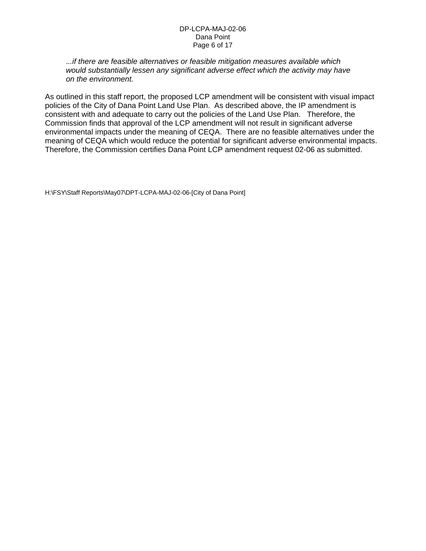### DP-LCPA-MAJ-02-06 Dana Point Page 6 of 17

 .*..if there are feasible alternatives or feasible mitigation measures available which would substantially lessen any significant adverse effect which the activity may have on the environment.* 

As outlined in this staff report, the proposed LCP amendment will be consistent with visual impact policies of the City of Dana Point Land Use Plan. As described above, the IP amendment is consistent with and adequate to carry out the policies of the Land Use Plan. Therefore, the Commission finds that approval of the LCP amendment will not result in significant adverse environmental impacts under the meaning of CEQA. There are no feasible alternatives under the meaning of CEQA which would reduce the potential for significant adverse environmental impacts. Therefore, the Commission certifies Dana Point LCP amendment request 02-06 as submitted.

H:\FSY\Staff Reports\May07\DPT-LCPA-MAJ-02-06-[City of Dana Point]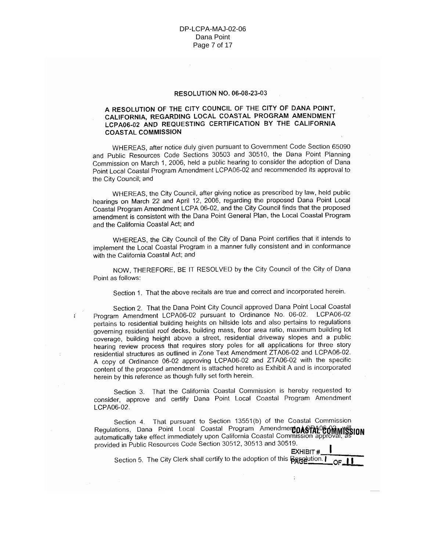### **RESOLUTION NO. 06-08-23-03**

### A RESOLUTION OF THE CITY COUNCIL OF THE CITY OF DANA POINT. CALIFORNIA, REGARDING LOCAL COASTAL PROGRAM AMENDMENT LCPA06-02 AND REQUESTING CERTIFICATION BY THE CALIFORNIA **COASTAL COMMISSION**

WHEREAS, after notice duly given pursuant to Government Code Section 65090 and Public Resources Code Sections 30503 and 30510, the Dana Point Planning Commission on March 1, 2006, held a public hearing to consider the adoption of Dana Point Local Coastal Program Amendment LCPA06-02 and recommended its approval to the City Council; and

WHEREAS, the City Council, after giving notice as prescribed by law, held public hearings on March 22 and April 12, 2006, regarding the proposed Dana Point Local Coastal Program Amendment LCPA 06-02, and the City Council finds that the proposed amendment is consistent with the Dana Point General Plan, the Local Coastal Program and the California Coastal Act; and

WHEREAS, the City Council of the City of Dana Point certifies that it intends to implement the Local Coastal Program in a manner fully consistent and in conformance with the California Coastal Act; and

NOW, THEREFORE, BE IT RESOLVED by the City Council of the City of Dana Point as follows:

Section 1. That the above recitals are true and correct and incorporated herein.

Section 2. That the Dana Point City Council approved Dana Point Local Coastal Program Amendment LCPA06-02 pursuant to Ordinance No. 06-02. LCPA06-02 pertains to residential building heights on hillside lots and also pertains to regulations governing residential roof decks, building mass, floor area ratio, maximum building lot coverage, building height above a street, residential driveway slopes and a public hearing review process that requires story poles for all applications for three story residential structures as outlined in Zone Text Amendment ZTA06-02 and LCPA06-02. A copy of Ordinance 06-02 approving LCPA06-02 and ZTA06-02 with the specific content of the proposed amendment is attached hereto as Exhibit A and is incorporated herein by this reference as though fully set forth herein.

Section 3. That the California Coastal Commission is hereby requested to consider, approve and certify Dana Point Local Coastal Program Amendment LCPA06-02.

Section 4. That pursuant to Section 13551(b) of the Coastal Commission Regulations, Dana Point Local Coastal Program Amendment DASTAN COMMISSION automatically take effect immediately upon California Coastal Commission approva provided in Public Resources Code Section 30512, 30513 and 30519.

EXHIBIT# Section 5. The City Clerk shall certify to the adoption of this **Begglution**. OF.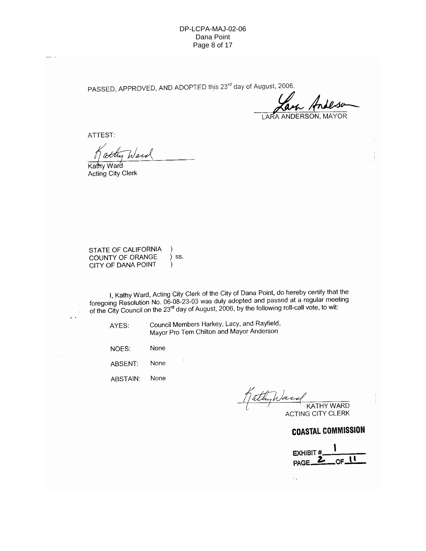### DP-LCPA-MAJ-02-06 Dana Point Page 8 of 17

PASSED, APPROVED, AND ADOPTED this 23<sup>rd</sup> day of August, 2006.

**ANDERSON, MAYOR** 

ATTEST:

Ware

Kathy Ward Acting City Clerk

STATE OF CALIFORNIA  $\lambda$ COUNTY OF ORANGE ) ss. CITY OF DANA POINT  $\mathcal{E}$ 

I, Kathy Ward, Acting City Clerk of the City of Dana Point, do hereby certify that the foregoing Resolution No. 06-08-23-03 was duly adopted and passed at a regular meeting of the City Council on the 23<sup>rd</sup> day of August,

AYES:

 $\mathcal{L}^{\mathcal{A}}$ 

Council Members Harkey, Lacy, and Rayfield, Mayor Pro Tem Chilton and Mayor Anderson

None NOES: ABSENT: None

ABSTAIN: None

**KATHY WARD** 

**ACTING CITY CLERK** 

**COASTAL COMMISSION** 

**EXHIBIT#** ŌË PAGE.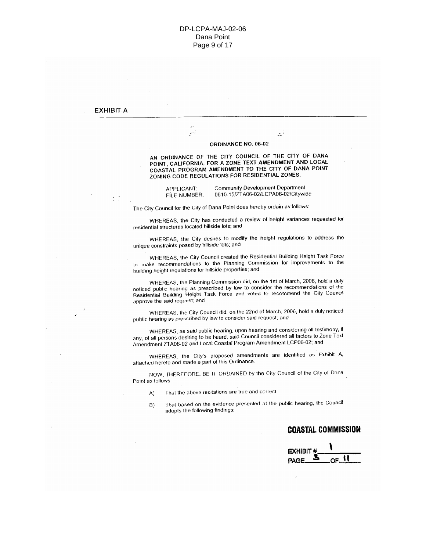#### **EXHIBIT A**

#### ORDINANCE NO. 06-02

AN ORDINANCE OF THE CITY COUNCIL OF THE CITY OF DANA POINT, CALIFORNIA, FOR A ZONE TEXT AMENDMENT AND LOCAL COASTAL PROGRAM AMENDMENT TO THE CITY OF DANA POINT ZONING CODE REGULATIONS FOR RESIDENTIAL ZONES.

APPLICANT: FILE NUMBER:

 $\mathbb{R}^2$ 

Community Development Department 0610-15/ZTA06-02/LCPA06-02/Citywide

Ц,

The City Council for the City of Dana Point does hereby ordain as follows:

WHEREAS, the City has conducted a review of height variances requested for residential structures located hillside lots; and

WHEREAS, the City desires to modify the height regulations to address the unique constraints posed by hillside lots; and

WHEREAS, the City Council created the Residential Building Height Task Force to make recommendations to the Planning Commission for improvements to the building height regulations for hillside properties; and

WHEREAS, the Planning Commission did, on the 1st of March, 2006, hold a duly noticed public hearing as prescribed by law to consider the recommendations of the Residential Building Height Task Force and voted to recommend the City Council approve the said request; and

WHEREAS, the City Council did, on the 22nd of March, 2006, hold a duly noticed public hearing as prescribed by law to consider said request; and

WHEREAS, as said public hearing, upon hearing and considering all testimony, if any, of all persons desiring to be heard, said Council considered all factors to Zone Text Amendment ZTA06-02 and Local Coastal Program Amendment LCP06-02; and

WHEREAS, the City's proposed amendments are identified as Exhibit A, attached hereto and made a part of this Ordinance.

NOW, THEREFORE, BE IT ORDAINED by the City Council of the City of Dana Point as follows:

- That the above recitations are true and correct. A)
- That based on the evidence presented at the public hearing, the Council B) adopts the following findings:

## **COASTAL COMMISSION**

EXHIBIT

,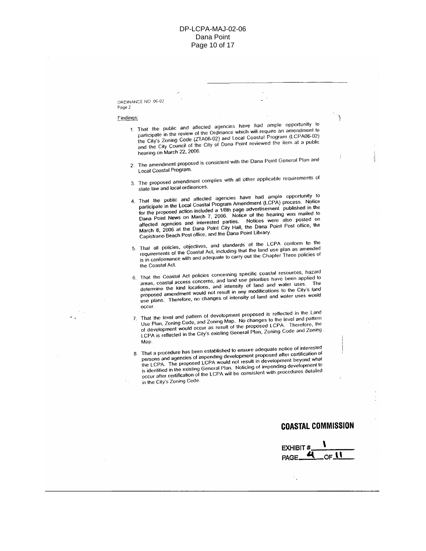#### ORDINANCE NO. 06-02 Page 2

#### Findings:

- 1. That the public and affected agencies have had ample opportunity to participate in the review of the Ordinance which will require an amendment to the City's Zoning Code (ZTA06-02) and Local Coastal Program (LCPA06-02) and the City Council of the City of Dana Point reviewed the item at a public hearing on March 22, 2006.
- 2. The amendment proposed is consistent with the Dana Point General Plan and Local Coastal Program.
- 3. The proposed amendment complies with all other applicable requirements of state law and local ordinances.
- 4. That the public and affected agencies have had ample opportunity to participate in the Local Coastal Program Amendment (LCPA) process. Notice for the proposed action included a 1/8th page advertisement published in the Dana Point News on March 7, 2006. Notice of the hearing was mailed to affected agencies and interested parties. Notices were also posted on March 8, 2006 at the Dana Point City Hall, the Dana Point Post office, the Capistrano Beach Post office, and the Dana Point Library.
- 5. That all policies, objectives, and standards of the LCPA conform to the requirements of the Coastal Act, including that the land use plan as amended is in conformance with and adequate to carry out the Chapter Three policies of the Coastal Act.
- 6. That the Coastal Act policies concerning specific coastal resources, hazard areas, coastal access concerns, and land use priorities have been applied to determine the kind locations, and intensity of land and water uses. The proposed amendment would not result in any modifications to the City's land use plans. Therefore, no changes of intensity of land and water uses would occur.
- 7. That the level and pattern of development proposed is reflected in the Land Use Plan, Zoning Code, and Zoning Map. No changes to the level and pattern of development would occur as result of the proposed LCPA. Therefore, the LCPA is reflected in the City's existing General Plan, Zoning Code and Zoning Map.
- 8. That a procedure has been established to ensure adequate notice of interested persons and agencies of impending development proposed after certification of the LCPA. The proposed LCPA would not result in development beyond what is identified in the existing General Plan. Noticing of impending development to occur after certification of the LCPA will be consistent with procedures detailed in the City's Zoning Code.

## **COASTAL COMMISSION**

**EXHIBIT #** PAGE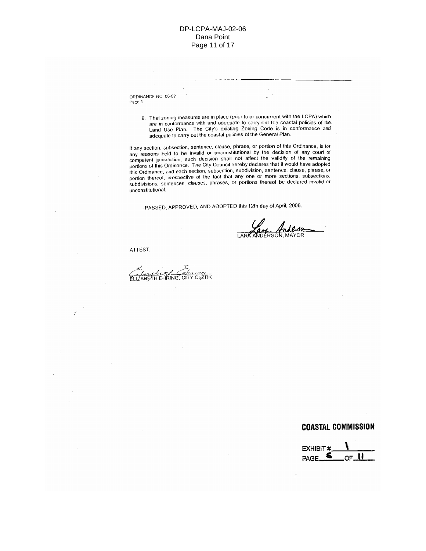ORDINANCE NO 06-02 Page 3

> 9. That zoning measures are in place (prior to or concurrent with the LCPA) which are in conformance with and adequate to carry out the coastal policies of the Land Use Plan. The City's existing Zoning Code is in conformance and adequate to carry out the coastal policies of the General Plan.

If any section, subsection, sentence, clause, phrase, or portion of this Ordinance, is for any reasons held to be invalid or unconstitutional by the decision of any court of competent jurisdiction, such decision shall not affect the validity of the remaining portions of this Ordinance. The City Council hereby declares that it would have adopted this Ordinance, and each section, subsection, subdivision, sentence, clause, phrase, or portion thereof, irrespective of the fact that any one or more sections, subsections, subdivisions, sentences, clauses, phrases, or portions thereof be declared invalid or unconstitutional.

PASSED, APPROVED, AND ADOPTED this 12th day of April, 2006.

ATTEST:

ź

CLERK **REAH EHRING, CITY** 

## **COASTAL COMMISSION**

**EXHIBIT#** PAGE. OF.

 $\mathcal{I}$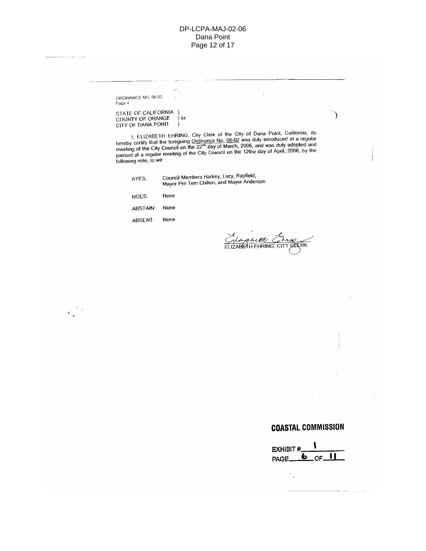### DP-LCPA-MAJ-02-06 Dana Point Page 12 of 17

ORDINANCE NO. 06-02 Page 4

STATE OF CALIFORNIA )<br>COUNTY OF ORANGE )<br>CITY OF DANA POINT ) ) ss

1, ELIZABETH EHRING, City Clerk of the City of Dana Point, California, do<br>hereby certify that the foregoing Ordinance No. 06-02 was duly introduced at a regular<br>meeting of the City Council on the  $22^{nd}$  day of March, 200

| AYES: | Council Members Harkey, Lacy, Rayfield,<br>Mayor Pro Tem Chilton, and Mayor Andersor |
|-------|--------------------------------------------------------------------------------------|
|       |                                                                                      |

| NOES:    | None |  |
|----------|------|--|
| ABSTAIN: | None |  |

ABSENT: None

 $\mathcal{L}^{(2)}$ 

he th ELIZABETH EHRING, CITY CIERK

Ć

℩

# **COASTAL COMMISSION**

**EXHIBIT#** 6 PAGE\_ OF

 $\mathbb{C}_\ell$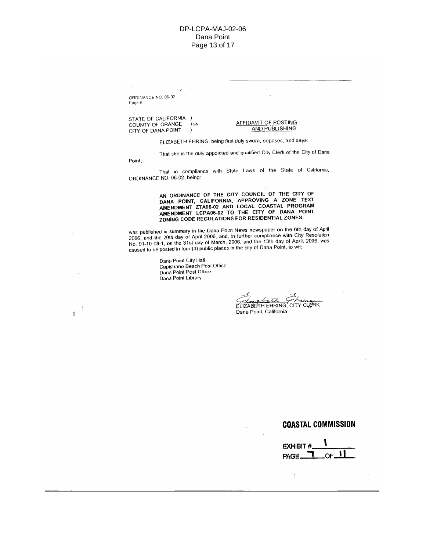### DP-LCPA-MAJ-02-06 Dana Point Page 13 of 17

ORDINANCE NO. 06-02 Page 5

Point;

÷

STATE OF CALIFORNIA ) COUNTY OF ORANGE ) ss CITY OF DANA POINT  $\cdot)$ 

#### AFFIDAVIT OF POSTING **AND PUBLISHING**

ELIZABETH EHRING, being first duly swom, deposes, and says:

That she is the duly appointed and qualified City Clerk of the City of Dana

That in compliance with State Laws of the State of California, ORDINANCE NO. 06-02, being:

> AN ORDINANCE OF THE CITY COUNCIL OF THE CITY OF DANA POINT, CALIFORNIA, APPROVING A ZONE TEXT AMENDMENT ZTA06-02 AND LOCAL COASTAL PROGRAM<br>AMENDMENT LCPA06-02 TO THE CITY OF DANA POINT ZONING CODE REGULATIONS FOR RESIDENTIAL ZONES.

was published in summary in the Dana Point News newspaper on the 6th day of April 2006, and the 20th day of April 2006, and, in further compliance with City Resolution No. 91-10-08-1, on the 31st day of March, 2006, and the 13th day of April, 2006, was caused to be posted in four (4) public places in the city of Dana Point, to with

> Dana Point City Hall Capistrano Beach Post Office Dana Point Post Office Dana Point Library

ELIZABETH EHRING, CITY CLORK Dana Point, California

### **COASTAL COMMISSION**

**EXHIBIT#** PAGE

 $\ddot{\cdot}$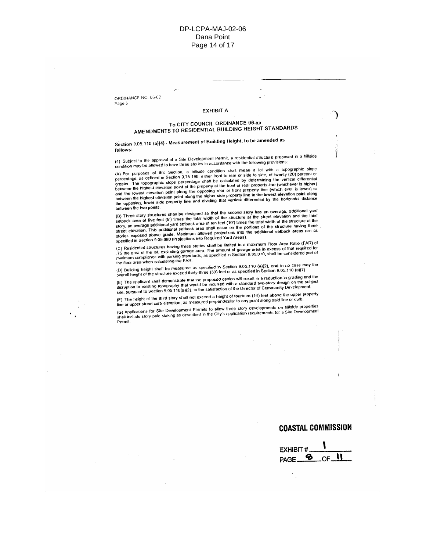ORDINANCE NO. 06-02 Page 6

### ЕХНІВІТ А

### To CITY COUNCIL ORDINANCE 06-xx AMENDMENTS TO RESIDENTIAL BUILDING HEIGHT STANDARDS

Section 9.05.110 (a)(4) - Measurement of Building Height, to be amended as follows:

(4) Subject to the approval of a Site Development Permit, a residential structure proposed in a hillside condition may be allowed to have three stories in accordance with the following provisions:

(A) For purposes of this Section, a hillside condition shall mean a lot with a topographic slope<br>percentage, as defined in Section 9.75.190, either front to rear or side to side, of twenty (20) percent or personalistic to account our content of other hands and the content of our or side, or interns (zu) percent or greater. The topographic stope percentage shall be calculated by determining the vertical differential<br>between the highest elevation point of the property at the front or rear property line (whichever is higher)<br>and the lo between the two points.

(B) Three story structures shall be designed so that the second story has an average, additional yard setback area of five feet (5') times the total width of the structure at the street elevation and the third story, an a study, an average entimated provides area shall occur on the portions of the structure having three<br>street elevation. This additional setback area shall occur on the portions of the structure having three<br>stories exposed a specified in Section 9.05.080 (Projections into Required Yard Areas).

(C) Residential structures having three stories shall be limited to a maximum Floor Area Ratio (FAR) of (v) income that we have a complete the set of the set of the set of the set of the set of the set of the set of the set of the set of the set of the set of the set of the set of the set of the set of the set of the set of the floor area when calculating the FAR.

(D) Building height shall be measured as specified in Section 9.05.110 (a)(2), and in no case may the<br>overall height of the structure exceed thirty-three (33) feel or as specified in Section 9.05.110 (a)(7).

(E) The applicant shall demonstrate that the proposed design will result in a reduction in grading and the ושות האמצע של מאוד האמצע של הוא הוא המאסיק האמצע של האמצע של האמצע האמצע האמצע הוא האמצע הוא האמצע היה השל disruption to existing topography that would be incurred with a standard two-story design, on the subject<br>site, pu

(F) The height of the third story shall not exceed a height of fourteen (14) feet above the upper property ing the magin of the time stery show the executive of neight of reditional properties discussed the upper like<br>line or upper street curb elevation, as measured perpendicular to any point along said line or curb.

(G) Applications for Site Development Permits to allow three story developments on hillside properties in proposition of the second processes in the City's application requirements for a Site Development shall include story pole staking as described in the City's application requirements for a Site Development Permit.

### **COASTAL COMMISSION**

**EXHIBIT#** B OF PAGE.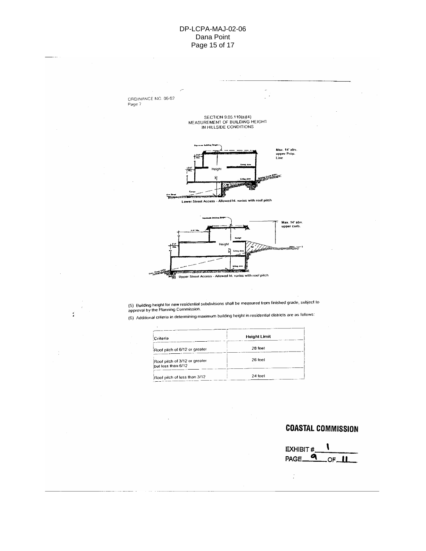### DP-LCPA-MAJ-02-06 Dana Point Page 15 of 17



approval by the Planning Commission.<br>(6) Additional criteria in determining maximum building height in residential districts are as follows:

| Criteria                                            | <b>Height Limit</b> |
|-----------------------------------------------------|---------------------|
| Roof pitch of 6/12 or greater                       | 28 feet             |
| Roof pitch of 3/12 or greater<br>but less than 6/12 | 25 feet             |
| Roof pilch of less than 3/12                        | 24 feet             |

# **COASTAL COMMISSION**

l EXHIBIT#.  $\overline{\mathbf{a}}$ PAGE\_ OF\_ П

 $\dot{\cdot}$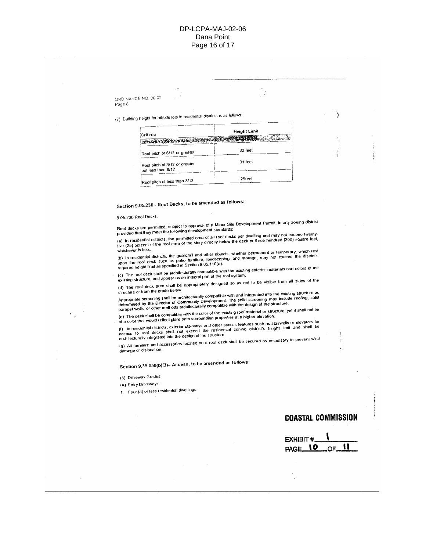### DP-LCPA-MAJ-02-06 Dana Point Page 16 of 17

ORDINANCE NO. 06-02 Page 8

(7) Building height for hillside lots in residential districts is as follows:

| Criteria                                           | <b>Height Limit</b> |  |  |
|----------------------------------------------------|---------------------|--|--|
| Fors with 20% or greater stope per section 90 2120 |                     |  |  |
| Roof pitch of 6/12 or greater                      | 33 feet             |  |  |
| Roof pitch of 3/12 or greater                      | 31 feet             |  |  |
| but less than 6/12                                 |                     |  |  |
| Roof pitch of less than 3/12                       | 29feet              |  |  |

Section 9.05.230 - Roof Decks, to be amended as follows:

9.05.230 Roof Decks.

Roof decks are permitted, subject to approval of a Minor Site Development Permit, in any zoning district<br>provided that they meet the following development standards:

(a) In residential districts, the permitted area of all roof decks per dwelling unit may not exceed twenty-<br>five (25) percent of the roof area of the story directly below the deck or three hundred (300) square feet,

(b) In residential districts, the guardrail and other objects, whether permanent or temporary, which rest<br>upon the roof deck such as patio furniture, landscaping, and storage, may not exceed the district's<br>required height

(c) The roof deck shall be architecturally compatible with the existing exterior materials and colors of the 

(d) The roof deck area shall be appropriately designed so as not to be visible from all sides of the

structure or from the grade below. Appropriate screening shall be architecturally compatible with and integrated into the existing structure as Appropriate screening shari be arcritectureny companing murrants into anegrated into the existing subcrure as<br>determined by the Director of Community Development. The solid screening may include roofing, solid<br>parapet wal

(e) The deck shall be compatible with the color of the existing roof material or structure, yet it shall not be te) The deck shall be compalible with the cold of the existing roof thatefiel or stiffe.<br>The deck shall reflect glare onto surrounding properties at a higher elevation.

(f) In residential districts, exterior stairways and other access features such as stairwells or elevators for it) an respectivel obtained, existed station of the street process restores such as statingles of grevators of<br>access to roof decks shall not exceed the residential zoning district's height limit and shall be<br>architectural

(g) All furniture and accessories located on a roof deck shall be secured as necessary to prevent wind

damage or dislocation.

Section 9.35.050(b)(3)- Access, to be amended as follows:

(3) Driveway Grades:

(A) Entry Driveways:

1. Four (4) or less residential dwellings:

## **COASTAL COMMISSION**

ì

| EXHIBIT #_         |  |     |
|--------------------|--|-----|
| PAGE <sub>UO</sub> |  | 20F |